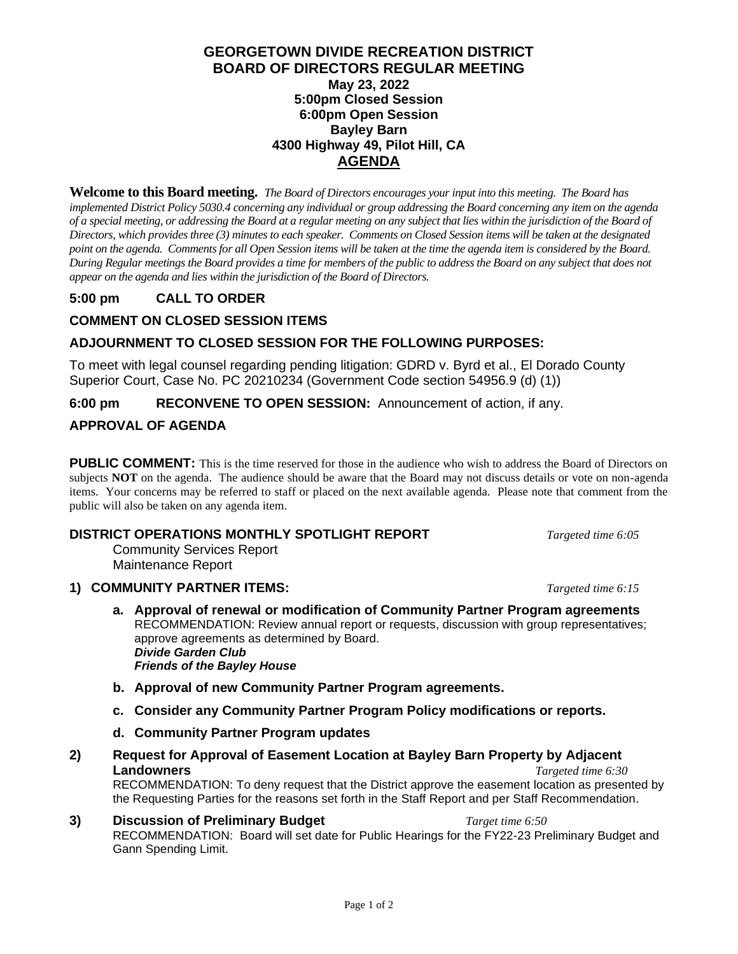#### **GEORGETOWN DIVIDE RECREATION DISTRICT BOARD OF DIRECTORS REGULAR MEETING May 23, 2022 5:00pm Closed Session 6:00pm Open Session Bayley Barn 4300 Highway 49, Pilot Hill, CA AGENDA**

**Welcome to this Board meeting.** *The Board of Directors encourages your input into this meeting. The Board has implemented District Policy 5030.4 concerning any individual or group addressing the Board concerning any item on the agenda of a special meeting, or addressing the Board at a regular meeting on any subject that lies within the jurisdiction of the Board of Directors, which provides three (3) minutes to each speaker. Comments on Closed Session items will be taken at the designated point on the agenda. Commentsfor all Open Session items will be taken at the time the agenda item is considered by the Board. During Regular meetings the Board provides a time for members of the public to address the Board on any subject that does not appear on the agenda and lies within the jurisdiction of the Board of Directors.*

# **5:00 pm CALL TO ORDER**

# **COMMENT ON CLOSED SESSION ITEMS**

## **ADJOURNMENT TO CLOSED SESSION FOR THE FOLLOWING PURPOSES:**

To meet with legal counsel regarding pending litigation: GDRD v. Byrd et al., El Dorado County Superior Court, Case No. PC 20210234 (Government Code section 54956.9 (d) (1))

**6:00 pm RECONVENE TO OPEN SESSION:** Announcement of action, if any.

## **APPROVAL OF AGENDA**

**PUBLIC COMMENT:** This is the time reserved for those in the audience who wish to address the Board of Directors on subjects **NOT** on the agenda. The audience should be aware that the Board may not discuss details or vote on non-agenda items. Your concerns may be referred to staff or placed on the next available agenda. Please note that comment from the public will also be taken on any agenda item.

#### **DISTRICT OPERATIONS MONTHLY SPOTLIGHT REPORT** *Targeted time 6:05*

Community Services Report Maintenance Report

#### **1) COMMUNITY PARTNER ITEMS:** *Targeted time 6:15*

- **a. Approval of renewal or modification of Community Partner Program agreements** RECOMMENDATION: Review annual report or requests, discussion with group representatives; approve agreements as determined by Board. *Divide Garden Club Friends of the Bayley House*
- **b. Approval of new Community Partner Program agreements.**
- **c. Consider any Community Partner Program Policy modifications or reports.**
- **d. Community Partner Program updates**
- **2) Request for Approval of Easement Location at Bayley Barn Property by Adjacent Landowners** *Targeted time 6:30* RECOMMENDATION: To deny request that the District approve the easement location as presented by

the Requesting Parties for the reasons set forth in the Staff Report and per Staff Recommendation.

**3) Discussion of Preliminary Budget** *Target time 6:50* RECOMMENDATION: Board will set date for Public Hearings for the FY22-23 Preliminary Budget and Gann Spending Limit.